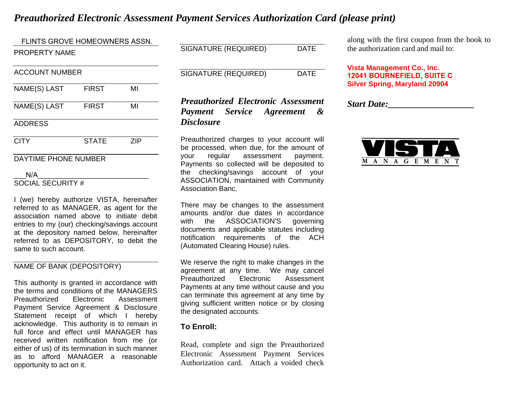# *Preauthorized Electronic Assessment Payment Services Authorization Card (please print)*

PROPERTY NAME ACCOUNT NUMBER NAME(S) LAST FIRST MI NAME(S) LAST FIRST MI ADDRESS CITY STATE ZIP DAYTIME PHONE NUMBER  $N/A$ FLINTS GROVE HOMEOWNERS ASSN.

# SOCIAL SECURITY #

I (we) hereby authorize VISTA, hereinafter referred to as MANAGER, as agent for the association named above to initiate debit entries to my (our) checking/savings account at the depository named below, hereinafter referred to as DEPOSITORY, to debit the same to such account.

### NAME OF BANK (DEPOSITORY)

This authority is granted in accordance with the terms and conditions of the MANAGERS Preauthorized Electronic Assessment Payment Service Agreement & Disclosure Statement receipt of which I hereby acknowledge. This authority is to remain in full force and effect until MANAGER has received written notification from me (or either of us) of its termination in such manner as to afford MANAGER a reasonable opportunity to act on it.

| SIGNATURE (REQUIRED) | DATE |
|----------------------|------|
|                      |      |

SIGNATURE (REQUIRED) DATE

# *Preauthorized Electronic Assessment Payment Service Agreement & Disclosure*

Preauthorized charges to your account will be processed, when due, for the amount of your regular assessment payment. Payments so collected will be deposited to the checking/savings account of your ASSOCIATION, maintained with Community Association Banc.

There may be changes to the assessment amounts and/or due dates in accordance with the ASSOCIATION'S governing documents and applicable statutes including notification requirements of the ACH (Automated Clearing House) rules.

We reserve the right to make changes in the agreement at any time. We may cancel Preauthorized Electronic Assessment Payments at any time without cause and you can terminate this agreement at any time by giving sufficient written notice or by closing the designated accounts.

### **To Enroll:**

Read, complete and sign the Preauthorized Electronic Assessment Payment Services Authorization card. Attach a voided check

along with the first coupon from the book to the authorization card and mail to:

**Vista Management Co., Inc. 12041 BOURNEFIELD, SUITE CSilver Spring, Maryland 20904**

*Start Date:\_\_\_\_\_\_\_\_\_\_\_\_\_\_\_\_\_\_\_*